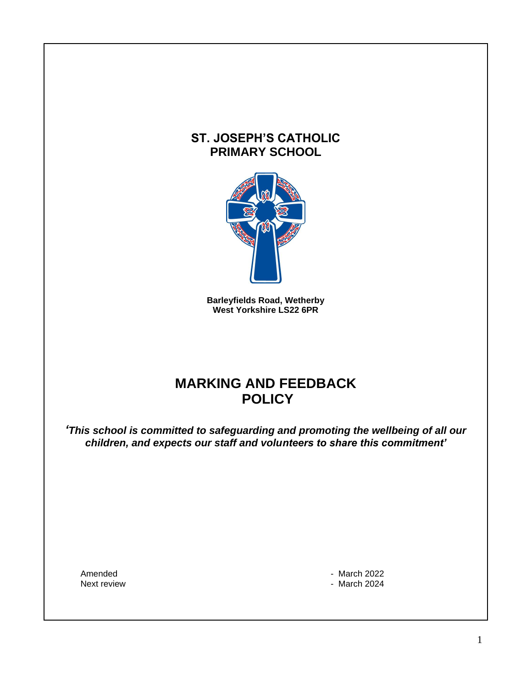### **ST. JOSEPH'S CATHOLIC PRIMARY SCHOOL**



**Barleyfields Road, Wetherby West Yorkshire LS22 6PR**

# **MARKING AND FEEDBACK POLICY**

*'This school is committed to safeguarding and promoting the wellbeing of all our children, and expects our staff and volunteers to share this commitment'*

Amended **- March 2022** Next review  $\overline{a}$  March 2024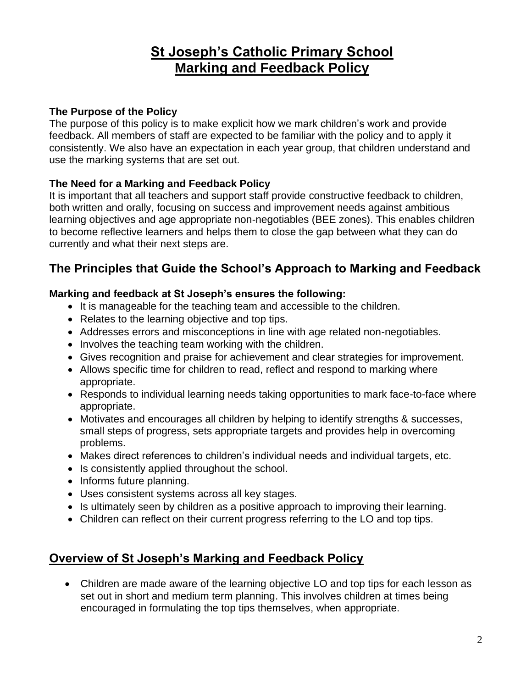# **St Joseph's Catholic Primary School Marking and Feedback Policy**

### **The Purpose of the Policy**

The purpose of this policy is to make explicit how we mark children's work and provide feedback. All members of staff are expected to be familiar with the policy and to apply it consistently. We also have an expectation in each year group, that children understand and use the marking systems that are set out.

### **The Need for a Marking and Feedback Policy**

It is important that all teachers and support staff provide constructive feedback to children, both written and orally, focusing on success and improvement needs against ambitious learning objectives and age appropriate non-negotiables (BEE zones). This enables children to become reflective learners and helps them to close the gap between what they can do currently and what their next steps are.

# **The Principles that Guide the School's Approach to Marking and Feedback**

### **Marking and feedback at St Joseph's ensures the following:**

- It is manageable for the teaching team and accessible to the children.
- Relates to the learning objective and top tips.
- Addresses errors and misconceptions in line with age related non-negotiables.
- Involves the teaching team working with the children.
- Gives recognition and praise for achievement and clear strategies for improvement.
- Allows specific time for children to read, reflect and respond to marking where appropriate.
- Responds to individual learning needs taking opportunities to mark face-to-face where appropriate.
- Motivates and encourages all children by helping to identify strengths & successes, small steps of progress, sets appropriate targets and provides help in overcoming problems.
- Makes direct references to children's individual needs and individual targets, etc.
- Is consistently applied throughout the school.
- Informs future planning.
- Uses consistent systems across all key stages.
- Is ultimately seen by children as a positive approach to improving their learning.
- Children can reflect on their current progress referring to the LO and top tips.

## **Overview of St Joseph's Marking and Feedback Policy**

• Children are made aware of the learning objective LO and top tips for each lesson as set out in short and medium term planning. This involves children at times being encouraged in formulating the top tips themselves, when appropriate.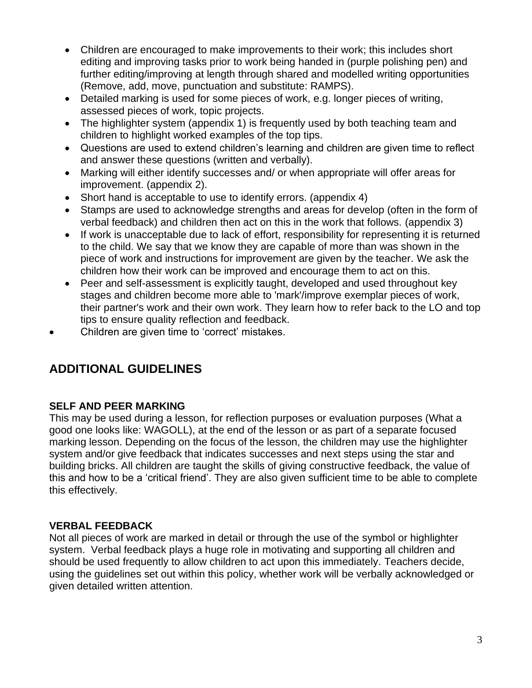- Children are encouraged to make improvements to their work; this includes short editing and improving tasks prior to work being handed in (purple polishing pen) and further editing/improving at length through shared and modelled writing opportunities (Remove, add, move, punctuation and substitute: RAMPS).
- Detailed marking is used for some pieces of work, e.g. longer pieces of writing, assessed pieces of work, topic projects.
- The highlighter system (appendix 1) is frequently used by both teaching team and children to highlight worked examples of the top tips.
- Questions are used to extend children's learning and children are given time to reflect and answer these questions (written and verbally).
- Marking will either identify successes and/ or when appropriate will offer areas for improvement. (appendix 2).
- Short hand is acceptable to use to identify errors. (appendix 4)
- Stamps are used to acknowledge strengths and areas for develop (often in the form of verbal feedback) and children then act on this in the work that follows. (appendix 3)
- If work is unacceptable due to lack of effort, responsibility for representing it is returned to the child. We say that we know they are capable of more than was shown in the piece of work and instructions for improvement are given by the teacher. We ask the children how their work can be improved and encourage them to act on this.
- Peer and self-assessment is explicitly taught, developed and used throughout key stages and children become more able to 'mark'/improve exemplar pieces of work, their partner's work and their own work. They learn how to refer back to the LO and top tips to ensure quality reflection and feedback.
- Children are given time to 'correct' mistakes.

# **ADDITIONAL GUIDELINES**

#### **SELF AND PEER MARKING**

This may be used during a lesson, for reflection purposes or evaluation purposes (What a good one looks like: WAGOLL), at the end of the lesson or as part of a separate focused marking lesson. Depending on the focus of the lesson, the children may use the highlighter system and/or give feedback that indicates successes and next steps using the star and building bricks. All children are taught the skills of giving constructive feedback, the value of this and how to be a 'critical friend'. They are also given sufficient time to be able to complete this effectively.

#### **VERBAL FEEDBACK**

Not all pieces of work are marked in detail or through the use of the symbol or highlighter system. Verbal feedback plays a huge role in motivating and supporting all children and should be used frequently to allow children to act upon this immediately. Teachers decide, using the guidelines set out within this policy, whether work will be verbally acknowledged or given detailed written attention.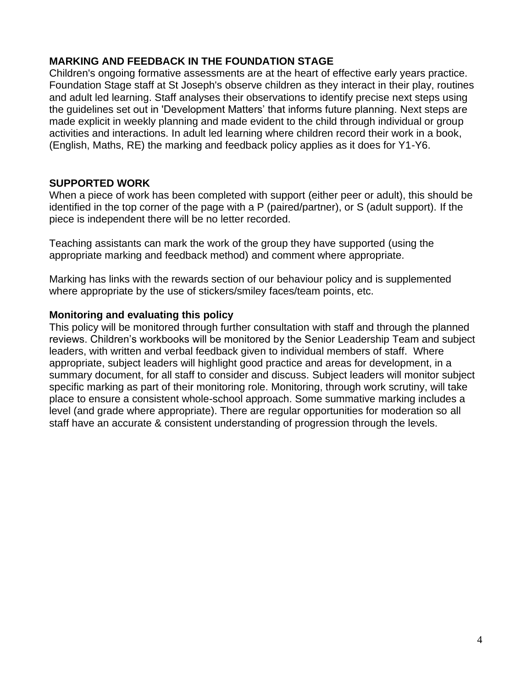#### **MARKING AND FEEDBACK IN THE FOUNDATION STAGE**

Children's ongoing formative assessments are at the heart of effective early years practice. Foundation Stage staff at St Joseph's observe children as they interact in their play, routines and adult led learning. Staff analyses their observations to identify precise next steps using the guidelines set out in 'Development Matters' that informs future planning. Next steps are made explicit in weekly planning and made evident to the child through individual or group activities and interactions. In adult led learning where children record their work in a book, (English, Maths, RE) the marking and feedback policy applies as it does for Y1-Y6.

#### **SUPPORTED WORK**

When a piece of work has been completed with support (either peer or adult), this should be identified in the top corner of the page with a P (paired/partner), or S (adult support). If the piece is independent there will be no letter recorded.

Teaching assistants can mark the work of the group they have supported (using the appropriate marking and feedback method) and comment where appropriate.

Marking has links with the rewards section of our behaviour policy and is supplemented where appropriate by the use of stickers/smiley faces/team points, etc.

#### **Monitoring and evaluating this policy**

This policy will be monitored through further consultation with staff and through the planned reviews. Children's workbooks will be monitored by the Senior Leadership Team and subject leaders, with written and verbal feedback given to individual members of staff. Where appropriate, subject leaders will highlight good practice and areas for development, in a summary document, for all staff to consider and discuss. Subject leaders will monitor subject specific marking as part of their monitoring role. Monitoring, through work scrutiny, will take place to ensure a consistent whole-school approach. Some summative marking includes a level (and grade where appropriate). There are regular opportunities for moderation so all staff have an accurate & consistent understanding of progression through the levels.